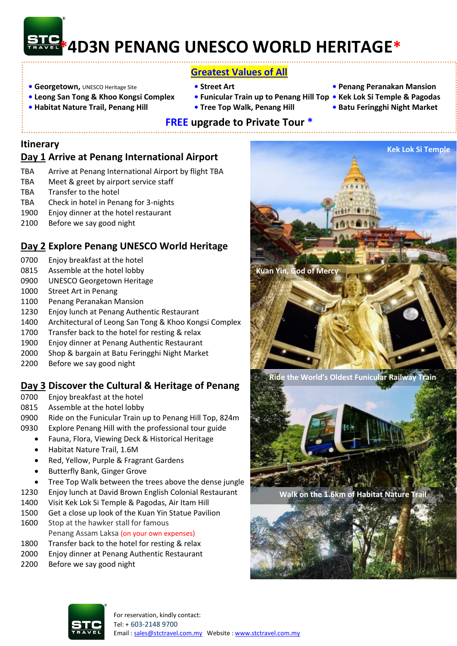# **\*4D3N PENANG UNESCO WORLD HERITAGE\***

## **Greatest Values of All**

- **• Georgetown,** UNESCO Heritage Site  **Street Art Penang Peranakan Mansion**
- **Leong San Tong & Khoo Kongsi Complex Funicular Train up to Penang Hill Top • Kek Lok Si Temple & Pagodas**
- **Habitat Nature Trail, Penang Hill Tree Top Walk, Penang Hill Batu Feringghi Night Market**
- -
- 
- 
- 

#### **FREE upgrade to Private Tour \***

#### **Itinerary**

## **Day 1 Arrive at Penang International Airport**

- TBA Arrive at Penang International Airport by flight TBA
- TBA Meet & greet by airport service staff
- TBA Transfer to the hotel
- TBA Check in hotel in Penang for 3-nights
- 1900 Enjoy dinner at the hotel restaurant
- 2100 Before we say good night

## **Day 2 Explore Penang UNESCO World Heritage**

- 0700 Enjoy breakfast at the hotel
- 0815 Assemble at the hotel lobby
- 0900 UNESCO Georgetown Heritage
- 1000 Street Art in Penang
- 1100 Penang Peranakan Mansion
- 1230 Enjoy lunch at Penang Authentic Restaurant
- 1400 Architectural of Leong San Tong & Khoo Kongsi Complex
- 1700 Transfer back to the hotel for resting & relax
- 1900 Enjoy dinner at Penang Authentic Restaurant
- 2000 Shop & bargain at Batu Feringghi Night Market
- 2200 Before we say good night

## **Day 3 Discover the Cultural & Heritage of Penang**

- 0700 Enjoy breakfast at the hotel
- 0815 Assemble at the hotel lobby
- 0900 Ride on the Funicular Train up to Penang Hill Top, 824m
- 0930 Explore Penang Hill with the professional tour guide
	- Fauna, Flora, Viewing Deck & Historical Heritage
	- Habitat Nature Trail, 1.6M
	- Red, Yellow, Purple & Fragrant Gardens
	- Butterfly Bank, Ginger Grove
	- Tree Top Walk between the trees above the dense jungle
- 1230 Enjoy lunch at David Brown English Colonial Restaurant
- 1400 Visit Kek Lok Si Temple & Pagodas, Air Itam Hill
- 1500 Get a close up look of the Kuan Yin Statue Pavilion
- 1600 Stop at the hawker stall for famous Penang Assam Laksa (on your own expenses)
- 1800 Transfer back to the hotel for resting & relax
- 
- 2000 Enjoy dinner at Penang Authentic Restaurant
- 2200 Before we say good night



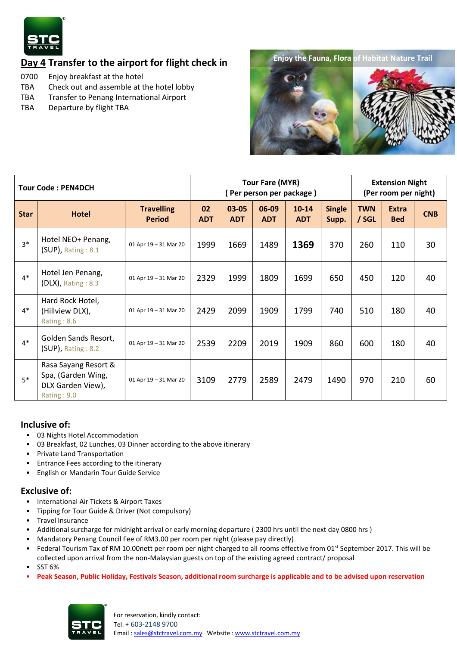

## **Day 4 Transfer to the airport for flight check in**

- 0700 Enjoy breakfast at the hotel
- TBA Check out and assemble at the hotel lobby
- TBA Transfer to Penang International Airport
- TBA Departure by flight TBA



| <b>Tour Code: PEN4DCH</b> |                                                                                |                                    | <b>Tour Fare (MYR)</b><br>Per person per package) |                     |                     |                         |                        | <b>Extension Night</b><br>(Per room per night) |                            |            |
|---------------------------|--------------------------------------------------------------------------------|------------------------------------|---------------------------------------------------|---------------------|---------------------|-------------------------|------------------------|------------------------------------------------|----------------------------|------------|
| <b>Star</b>               | <b>Hotel</b>                                                                   | <b>Travelling</b><br><b>Period</b> | 02<br><b>ADT</b>                                  | 03-05<br><b>ADT</b> | 06-09<br><b>ADT</b> | $10 - 14$<br><b>ADT</b> | <b>Single</b><br>Supp. | <b>TWN</b><br>/ SGL                            | <b>Extra</b><br><b>Bed</b> | <b>CNB</b> |
| $3*$                      | Hotel NEO+ Penang,<br>$(SUP)$ , Rating : 8.1                                   | 01 Apr 19 - 31 Mar 20              | 1999                                              | 1669                | 1489                | 1369                    | 370                    | 260                                            | 110                        | 30         |
| $4*$                      | Hotel Jen Penang,<br>$(DLX)$ , Rating : 8.3                                    | 01 Apr 19 - 31 Mar 20              | 2329                                              | 1999                | 1809                | 1699                    | 650                    | 450                                            | 120                        | 40         |
| $4*$                      | Hard Rock Hotel,<br>(Hillview DLX),<br>Rating: 8.6                             | 01 Apr 19 - 31 Mar 20              | 2429                                              | 2099                | 1909                | 1799                    | 740                    | 510                                            | 180                        | 40         |
| $4*$                      | Golden Sands Resort,<br>$(SUP)$ , Rating : 8.2                                 | 01 Apr 19 - 31 Mar 20              | 2539                                              | 2209                | 2019                | 1909                    | 860                    | 600                                            | 180                        | 40         |
| $5*$                      | Rasa Sayang Resort &<br>Spa, (Garden Wing,<br>DLX Garden View),<br>Rating: 9.0 | 01 Apr 19 - 31 Mar 20              | 3109                                              | 2779                | 2589                | 2479                    | 1490                   | 970                                            | 210                        | 60         |

#### **Inclusive of:**

- 03 Nights Hotel Accommodation
- 03 Breakfast, 02 Lunches, 03 Dinner according to the above itinerary
- Private Land Transportation
- Entrance Fees according to the itinerary
- English or Mandarin Tour Guide Service

#### **Exclusive of:**

- International Air Tickets & Airport Taxes
- Tipping for Tour Guide & Driver (Not compulsory)
- Travel Insurance
- Additional surcharge for midnight arrival or early morning departure ( 2300 hrs until the next day 0800 hrs )
- Mandatory Penang Council Fee of RM3.00 per room per night (please pay directly)
- Federal Tourism Tax of RM 10.00nett per room per night charged to all rooms effective from 01<sup>st</sup> September 2017. This will be collected upon arrival from the non-Malaysian guests on top of the existing agreed contract/ proposal • SST 6%
- **Peak Season, Public Holiday, Festivals Season, additional room surcharge is applicable and to be advised upon reservation**